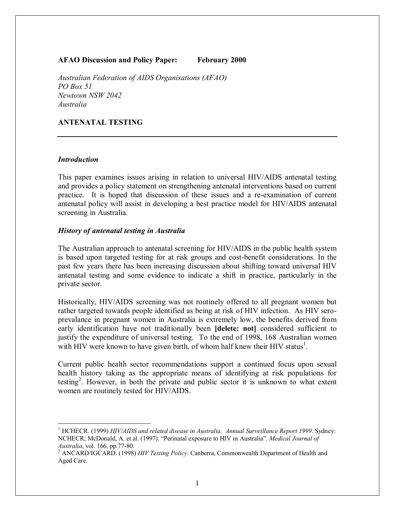#### **AFAO Discussion and Policy Paper: February 2000**

*Australian Federation of AIDS Organisations (AFAO) PO Box 51 Newtown NSW 2042 Australia* 

**ANTENATAL TESTING** 

#### *Introduction*

 $\overline{a}$ 

This paper examines issues arising in relation to universal HIV/AIDS antenatal testing and provides a policy statement on strengthening antenatal interventions based on current practice. It is hoped that discussion of these issues and a re-examination of current antenatal policy will assist in developing a best practice model for HIV/AIDS antenatal screening in Australia.

#### *History of antenatal testing in Australia*

The Australian approach to antenatal screening for HIV/AIDS in the public health system is based upon targeted testing for at risk groups and cost-benefit considerations. In the past few years there has been increasing discussion about shifting toward universal HIV antenatal testing and some evidence to indicate a shift in practice, particularly in the private sector.

Historically, HIV/AIDS screening was not routinely offered to all pregnant women but rather targeted towards people identified as being at risk of HIV infection. As HIV seroprevalance in pregnant women in Australia is extremely low, the benefits derived from early identification have not traditionally been **[delete: not]** considered sufficient to justify the expenditure of universal testing. To the end of 1998, 168 Australian women with HIV were known to have given birth, of whom half knew their HIV status<sup>1</sup>.

Current public health sector recommendations support a continued focus upon sexual health history taking as the appropriate means of identifying at risk populations for testing<sup>2</sup>. However, in both the private and public sector it is unknown to what extent women are routinely tested for HIV/AIDS.

<sup>&</sup>lt;sup>1</sup> HCHECR. (1999) *HIV/AIDS and related disease in Australia. Annual Surveillance Report 1999*. Sydney: NCHECR; McDonald, A. et al. (1997). "Perinatal exposure to HIV in Australia". *Medical Journal of Australia*, vol. 166, pp.77-80. 2

<sup>&</sup>lt;sup>2</sup> ANCARD/IGCARD. (1998) *HIV Testing Policy*. Canberra, Commonwealth Department of Health and Aged Care.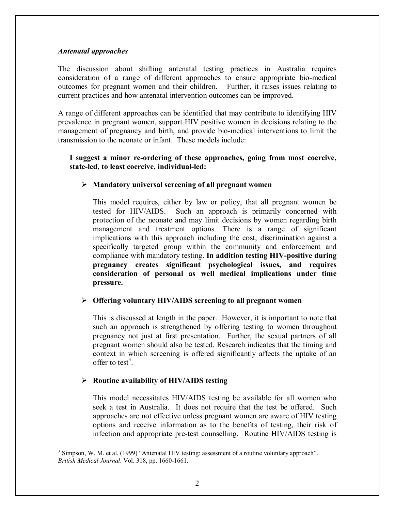#### *Antenatal approaches*

The discussion about shifting antenatal testing practices in Australia requires consideration of a range of different approaches to ensure appropriate bio-medical outcomes for pregnant women and their children. Further, it raises issues relating to current practices and how antenatal intervention outcomes can be improved.

A range of different approaches can be identified that may contribute to identifying HIV prevalence in pregnant women, support HIV positive women in decisions relating to the management of pregnancy and birth, and provide bio-medical interventions to limit the transmission to the neonate or infant. These models include:

#### **I suggest a minor re-ordering of these approaches, going from most coercive, state-led, to least coercive, individual-led:**

### ! **Mandatory universal screening of all pregnant women**

This model requires, either by law or policy, that all pregnant women be tested for HIV/AIDS. Such an approach is primarily concerned with protection of the neonate and may limit decisions by women regarding birth management and treatment options. There is a range of significant implications with this approach including the cost, discrimination against a specifically targeted group within the community and enforcement and compliance with mandatory testing. **In addition testing HIV-positive during pregnancy creates significant psychological issues, and requires consideration of personal as well medical implications under time pressure.**

#### ! **Offering voluntary HIV/AIDS screening to all pregnant women**

This is discussed at length in the paper. However, it is important to note that such an approach is strengthened by offering testing to women throughout pregnancy not just at first presentation. Further, the sexual partners of all pregnant women should also be tested. Research indicates that the timing and context in which screening is offered significantly affects the uptake of an offer to test<sup>3</sup>.

# ! **Routine availability of HIV/AIDS testing**

<u>.</u>

This model necessitates HIV/AIDS testing be available for all women who seek a test in Australia. It does not require that the test be offered. Such approaches are not effective unless pregnant women are aware of HIV testing options and receive information as to the benefits of testing, their risk of infection and appropriate pre-test counselling. Routine HIV/AIDS testing is

 $3$  Simpson, W. M. et al. (1999) "Antenatal HIV testing: assessment of a routine voluntary approach". *British Medical Journal*. Vol. 318, pp. 1660-1661.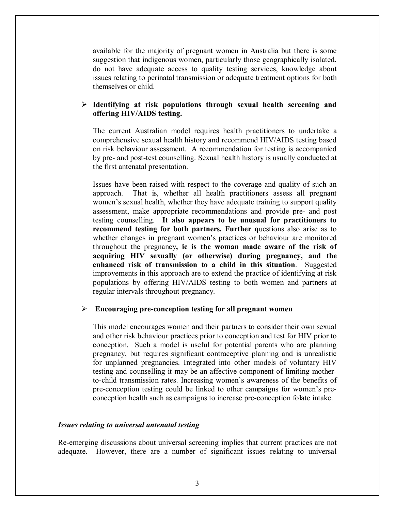available for the majority of pregnant women in Australia but there is some suggestion that indigenous women, particularly those geographically isolated, do not have adequate access to quality testing services, knowledge about issues relating to perinatal transmission or adequate treatment options for both themselves or child.

### ! **Identifying at risk populations through sexual health screening and offering HIV/AIDS testing.**

The current Australian model requires health practitioners to undertake a comprehensive sexual health history and recommend HIV/AIDS testing based on risk behaviour assessment. A recommendation for testing is accompanied by pre- and post-test counselling. Sexual health history is usually conducted at the first antenatal presentation.

Issues have been raised with respect to the coverage and quality of such an approach. That is, whether all health practitioners assess all pregnant women's sexual health, whether they have adequate training to support quality assessment, make appropriate recommendations and provide pre- and post testing counselling. **It also appears to be unusual for practitioners to recommend testing for both partners. Further q**uestions also arise as to whether changes in pregnant women's practices or behaviour are monitored throughout the pregnancy**, ie is the woman made aware of the risk of acquiring HIV sexually (or otherwise) during pregnancy, and the enhanced risk of transmission to a child in this situation**. Suggested improvements in this approach are to extend the practice of identifying at risk populations by offering HIV/AIDS testing to both women and partners at regular intervals throughout pregnancy.

#### ! **Encouraging pre-conception testing for all pregnant women**

This model encourages women and their partners to consider their own sexual and other risk behaviour practices prior to conception and test for HIV prior to conception. Such a model is useful for potential parents who are planning pregnancy, but requires significant contraceptive planning and is unrealistic for unplanned pregnancies. Integrated into other models of voluntary HIV testing and counselling it may be an affective component of limiting motherto-child transmission rates. Increasing womenís awareness of the benefits of pre-conception testing could be linked to other campaigns for womenís preconception health such as campaigns to increase pre-conception folate intake.

#### *Issues relating to universal antenatal testing*

Re-emerging discussions about universal screening implies that current practices are not adequate. However, there are a number of significant issues relating to universal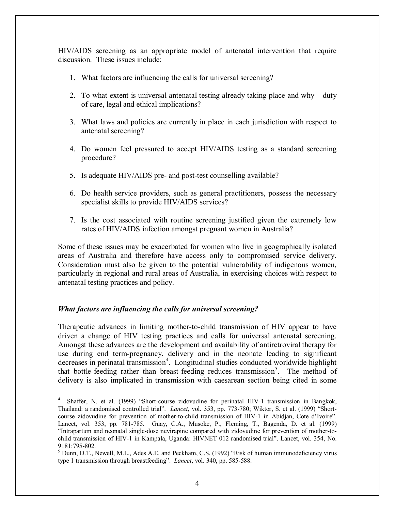HIV/AIDS screening as an appropriate model of antenatal intervention that require discussion. These issues include:

- 1. What factors are influencing the calls for universal screening?
- 2. To what extent is universal antenatal testing already taking place and why  $-$  duty of care, legal and ethical implications?
- 3. What laws and policies are currently in place in each jurisdiction with respect to antenatal screening?
- 4. Do women feel pressured to accept HIV/AIDS testing as a standard screening procedure?
- 5. Is adequate HIV/AIDS pre- and post-test counselling available?
- 6. Do health service providers, such as general practitioners, possess the necessary specialist skills to provide HIV/AIDS services?
- 7. Is the cost associated with routine screening justified given the extremely low rates of HIV/AIDS infection amongst pregnant women in Australia?

Some of these issues may be exacerbated for women who live in geographically isolated areas of Australia and therefore have access only to compromised service delivery. Consideration must also be given to the potential vulnerability of indigenous women, particularly in regional and rural areas of Australia, in exercising choices with respect to antenatal testing practices and policy.

# *What factors are influencing the calls for universal screening?*

 $\overline{a}$ 

Therapeutic advances in limiting mother-to-child transmission of HIV appear to have driven a change of HIV testing practices and calls for universal antenatal screening. Amongst these advances are the development and availability of antiretroviral therapy for use during end term-pregnancy, delivery and in the neonate leading to significant decreases in perinatal transmission<sup>4</sup>. Longitudinal studies conducted worldwide highlight that bottle-feeding rather than breast-feeding reduces transmission<sup>5</sup>. The method of delivery is also implicated in transmission with caesarean section being cited in some

<sup>4</sup> Shaffer, N. et al. (1999) "Short-course zidovudine for perinatal HIV-1 transmission in Bangkok, Thailand: a randomised controlled trial". *Lancet*, vol. 353, pp. 773-780; Wiktor, S. et al. (1999) "Shortcourse zidovudine for prevention of mother-to-child transmission of HIV-1 in Abidjan, Cote d'Ivoire". Lancet, vol. 353, pp. 781-785. Guay, C.A., Musoke, P., Fleming, T., Bagenda, D. et al. (1999) ìIntrapartum and neonatal single-dose nevirapine compared with zidovudine for prevention of mother-tochild transmission of HIV-1 in Kampala, Uganda: HIVNET 012 randomised trial". Lancet, vol. 354, No. 9181:795-802.

 $<sup>5</sup>$  Dunn, D.T., Newell, M.L., Ades A.E. and Peckham, C.S. (1992) "Risk of human immunodeficiency virus</sup> type 1 transmission through breastfeedingî. *Lancet*, vol. 340, pp. 585-588.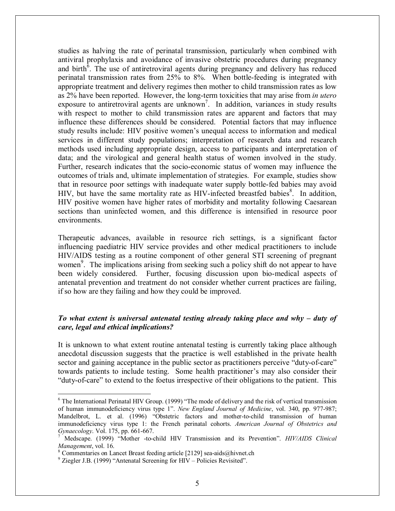studies as halving the rate of perinatal transmission, particularly when combined with antiviral prophylaxis and avoidance of invasive obstetric procedures during pregnancy and birth $\delta$ . The use of antiretroviral agents during pregnancy and delivery has reduced perinatal transmission rates from 25% to 8%. When bottle-feeding is integrated with appropriate treatment and delivery regimes then mother to child transmission rates as low as 2% have been reported. However, the long-term toxicities that may arise from *in utero*  exposure to antiretroviral agents are unknown<sup>7</sup>. In addition, variances in study results with respect to mother to child transmission rates are apparent and factors that may influence these differences should be considered. Potential factors that may influence study results include: HIV positive women's unequal access to information and medical services in different study populations; interpretation of research data and research methods used including appropriate design, access to participants and interpretation of data; and the virological and general health status of women involved in the study. Further, research indicates that the socio-economic status of women may influence the outcomes of trials and, ultimate implementation of strategies. For example, studies show that in resource poor settings with inadequate water supply bottle-fed babies may avoid HIV, but have the same mortality rate as HIV-infected breastfed babies $\delta$ . In addition, HIV positive women have higher rates of morbidity and mortality following Caesarean sections than uninfected women, and this difference is intensified in resource poor environments.

Therapeutic advances, available in resource rich settings, is a significant factor influencing paediatric HIV service provides and other medical practitioners to include HIV/AIDS testing as a routine component of other general STI screening of pregnant women<sup>9</sup>. The implications arising from seeking such a policy shift do not appear to have been widely considered. Further, focusing discussion upon bio-medical aspects of antenatal prevention and treatment do not consider whether current practices are failing, if so how are they failing and how they could be improved.

### *To what extent is universal antenatal testing already taking place and why – duty of care, legal and ethical implications?*

It is unknown to what extent routine antenatal testing is currently taking place although anecdotal discussion suggests that the practice is well established in the private health sector and gaining acceptance in the public sector as practitioners perceive "duty-of-care" towards patients to include testing. Some health practitioner's may also consider their ìduty-of-careî to extend to the foetus irrespective of their obligations to the patient. This

 $\overline{a}$ 

 $6$  The International Perinatal HIV Group. (1999) "The mode of delivery and the risk of vertical transmission of human immunodeficiency virus type 1î. *New England Journal of Medicine*, vol. 340, pp. 977-987; Mandelbrot, L. et al. (1996) "Obstetric factors and mother-to-child transmission of human immunodeficiency virus type 1: the French perinatal cohorts. *American Journal of Obstetrics and Gynaecology.* Vol. 175, pp. 661-667.

Medscape. (1999) "Mother -to-child HIV Transmission and its Prevention". *HIV/AIDS Clinical Management*, vol. 16.

 $8$  Commentaries on Lancet Breast feeding article [2129] sea-aids@hivnet.ch

 $9^9$  Ziegler J.B. (1999) "Antenatal Screening for HIV – Policies Revisited".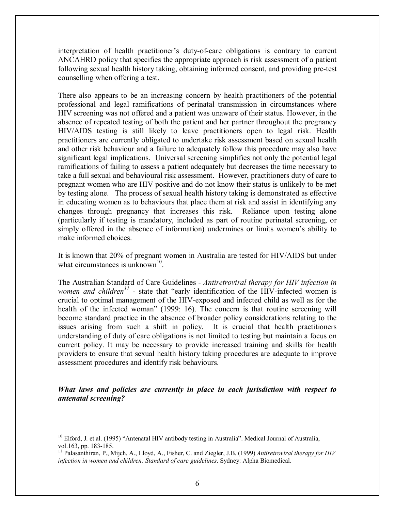interpretation of health practitioner's duty-of-care obligations is contrary to current ANCAHRD policy that specifies the appropriate approach is risk assessment of a patient following sexual health history taking, obtaining informed consent, and providing pre-test counselling when offering a test.

There also appears to be an increasing concern by health practitioners of the potential professional and legal ramifications of perinatal transmission in circumstances where HIV screening was not offered and a patient was unaware of their status. However, in the absence of repeated testing of both the patient and her partner throughout the pregnancy HIV/AIDS testing is still likely to leave practitioners open to legal risk. Health practitioners are currently obligated to undertake risk assessment based on sexual health and other risk behaviour and a failure to adequately follow this procedure may also have significant legal implications. Universal screening simplifies not only the potential legal ramifications of failing to assess a patient adequately but decreases the time necessary to take a full sexual and behavioural risk assessment. However, practitioners duty of care to pregnant women who are HIV positive and do not know their status is unlikely to be met by testing alone. The process of sexual health history taking is demonstrated as effective in educating women as to behaviours that place them at risk and assist in identifying any changes through pregnancy that increases this risk. Reliance upon testing alone (particularly if testing is mandatory, included as part of routine perinatal screening, or simply offered in the absence of information) undermines or limits women's ability to make informed choices.

It is known that 20% of pregnant women in Australia are tested for HIV/AIDS but under what circumstances is unknown<sup>10</sup>.

The Australian Standard of Care Guidelines - *Antiretroviral therapy for HIV infection in women and children<sup>11</sup>* - state that "early identification of the HIV-infected women is crucial to optimal management of the HIV-exposed and infected child as well as for the health of the infected woman" (1999: 16). The concern is that routine screening will become standard practice in the absence of broader policy considerations relating to the issues arising from such a shift in policy. It is crucial that health practitioners understanding of duty of care obligations is not limited to testing but maintain a focus on current policy. It may be necessary to provide increased training and skills for health providers to ensure that sexual health history taking procedures are adequate to improve assessment procedures and identify risk behaviours.

*What laws and policies are currently in place in each jurisdiction with respect to antenatal screening?* 

1

 $10$  Elford, J. et al. (1995) "Antenatal HIV antibody testing in Australia". Medical Journal of Australia, vol.163, pp. 183-185.

<sup>11</sup> Palasanthiran, P., Mijch, A., Lloyd, A., Fisher, C. and Ziegler, J.B. (1999) *Antiretroviral therapy for HIV infection in women and children: Standard of care guidelines*. Sydney: Alpha Biomedical.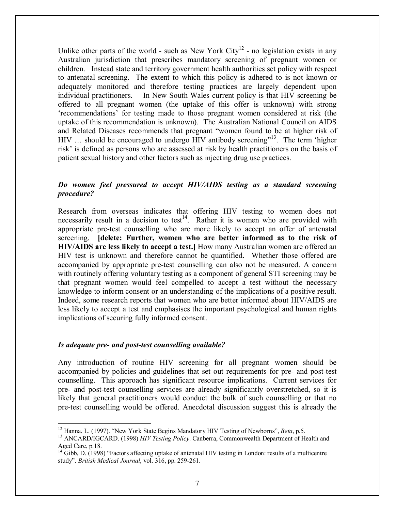Unlike other parts of the world - such as New York City<sup>12</sup> - no legislation exists in any Australian jurisdiction that prescribes mandatory screening of pregnant women or children. Instead state and territory government health authorities set policy with respect to antenatal screening. The extent to which this policy is adhered to is not known or adequately monitored and therefore testing practices are largely dependent upon individual practitioners. In New South Wales current policy is that HIV screening be offered to all pregnant women (the uptake of this offer is unknown) with strong frecommendations' for testing made to those pregnant women considered at risk (the uptake of this recommendation is unknown). The Australian National Council on AIDS and Related Diseases recommends that pregnant "women found to be at higher risk of HIV  $\ldots$  should be encouraged to undergo HIV antibody screening<sup> $13$ </sup>. The term 'higher risk' is defined as persons who are assessed at risk by health practitioners on the basis of patient sexual history and other factors such as injecting drug use practices.

### *Do women feel pressured to accept HIV/AIDS testing as a standard screening procedure?*

Research from overseas indicates that offering HIV testing to women does not necessarily result in a decision to test<sup>14</sup>. Rather it is women who are provided with appropriate pre-test counselling who are more likely to accept an offer of antenatal screening. **[delete: Further, women who are better informed as to the risk of HIV/AIDS are less likely to accept a test.]** How many Australian women are offered an HIV test is unknown and therefore cannot be quantified. Whether those offered are accompanied by appropriate pre-test counselling can also not be measured. A concern with routinely offering voluntary testing as a component of general STI screening may be that pregnant women would feel compelled to accept a test without the necessary knowledge to inform consent or an understanding of the implications of a positive result. Indeed, some research reports that women who are better informed about HIV/AIDS are less likely to accept a test and emphasises the important psychological and human rights implications of securing fully informed consent.

#### *Is adequate pre- and post-test counselling available?*

1

Any introduction of routine HIV screening for all pregnant women should be accompanied by policies and guidelines that set out requirements for pre- and post-test counselling. This approach has significant resource implications. Current services for pre- and post-test counselling services are already significantly overstretched, so it is likely that general practitioners would conduct the bulk of such counselling or that no pre-test counselling would be offered. Anecdotal discussion suggest this is already the

<sup>&</sup>lt;sup>12</sup> Hanna, L. (1997). "New York State Begins Mandatory HIV Testing of Newborns", *Beta*, p.5. <sup>13</sup> ANCARD/IGCARD. (1998) *HIV Testing Policy*. Canberra, Commonwealth Department of Health and Aged Care, p.18.

 $14$  Gibb, D. (1998) "Factors affecting uptake of antenatal HIV testing in London: results of a multicentre studyî. *British Medical Journal*, vol. 316, pp. 259-261.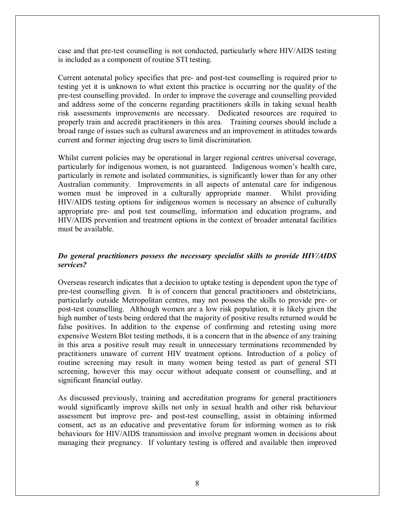case and that pre-test counselling is not conducted, particularly where HIV/AIDS testing is included as a component of routine STI testing.

Current antenatal policy specifies that pre- and post-test counselling is required prior to testing yet it is unknown to what extent this practice is occurring nor the quality of the pre-test counselling provided. In order to improve the coverage and counselling provided and address some of the concerns regarding practitioners skills in taking sexual health risk assessments improvements are necessary. Dedicated resources are required to properly train and accredit practitioners in this area. Training courses should include a broad range of issues such as cultural awareness and an improvement in attitudes towards current and former injecting drug users to limit discrimination.

Whilst current policies may be operational in larger regional centres universal coverage, particularly for indigenous women, is not guaranteed. Indigenous women's health care, particularly in remote and isolated communities, is significantly lower than for any other Australian community. Improvements in all aspects of antenatal care for indigenous women must be improved in a culturally appropriate manner. Whilst providing HIV/AIDS testing options for indigenous women is necessary an absence of culturally appropriate pre- and post test counselling, information and education programs, and HIV/AIDS prevention and treatment options in the context of broader antenatal facilities must be available.

### *Do general practitioners possess the necessary specialist skills to provide HIV/AIDS services?*

Overseas research indicates that a decision to uptake testing is dependent upon the type of pre-test counselling given. It is of concern that general practitioners and obstetricians, particularly outside Metropolitan centres, may not possess the skills to provide pre- or post-test counselling. Although women are a low risk population, it is likely given the high number of tests being ordered that the majority of positive results returned would be false positives. In addition to the expense of confirming and retesting using more expensive Western Blot testing methods, it is a concern that in the absence of any training in this area a positive result may result in unnecessary terminations recommended by practitioners unaware of current HIV treatment options. Introduction of a policy of routine screening may result in many women being tested as part of general STI screening, however this may occur without adequate consent or counselling, and at significant financial outlay.

As discussed previously, training and accreditation programs for general practitioners would significantly improve skills not only in sexual health and other risk behaviour assessment but improve pre- and post-test counselling, assist in obtaining informed consent, act as an educative and preventative forum for informing women as to risk behaviours for HIV/AIDS transmission and involve pregnant women in decisions about managing their pregnancy. If voluntary testing is offered and available then improved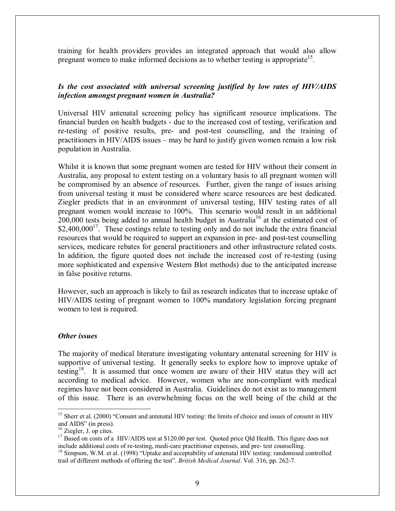training for health providers provides an integrated approach that would also allow pregnant women to make informed decisions as to whether testing is appropriate<sup>15</sup>.

# *Is the cost associated with universal screening justified by low rates of HIV/AIDS infection amongst pregnant women in Australia?*

Universal HIV antenatal screening policy has significant resource implications. The financial burden on health budgets - due to the increased cost of testing, verification and re-testing of positive results, pre- and post-test counselling, and the training of practitioners in HIV/AIDS issues  $-$  may be hard to justify given women remain a low risk population in Australia.

Whilst it is known that some pregnant women are tested for HIV without their consent in Australia, any proposal to extent testing on a voluntary basis to all pregnant women will be compromised by an absence of resources. Further, given the range of issues arising from universal testing it must be considered where scarce resources are best dedicated. Ziegler predicts that in an environment of universal testing, HIV testing rates of all pregnant women would increase to 100%. This scenario would result in an additional  $200,000$  tests being added to annual health budget in Australia<sup>16</sup> at the estimated cost of  $$2,400,000<sup>17</sup>$ . These costings relate to testing only and do not include the extra financial resources that would be required to support an expansion in pre- and post-test counselling services, medicare rebates for general practitioners and other infrastructure related costs. In addition, the figure quoted does not include the increased cost of re-testing (using more sophisticated and expensive Western Blot methods) due to the anticipated increase in false positive returns.

However, such an approach is likely to fail as research indicates that to increase uptake of HIV/AIDS testing of pregnant women to 100% mandatory legislation forcing pregnant women to test is required.

#### *Other issues*

The majority of medical literature investigating voluntary antenatal screening for HIV is supportive of universal testing. It generally seeks to explore how to improve uptake of testing<sup>18</sup>. It is assumed that once women are aware of their HIV status they will act according to medical advice. However, women who are non-compliant with medical regimes have not been considered in Australia. Guidelines do not exist as to management of this issue. There is an overwhelming focus on the well being of the child at the

 $\overline{a}$ 

<sup>&</sup>lt;sup>15</sup> Sherr et al. (2000) "Consent and antenatal HIV testing: the limits of choice and issues of consent in HIV and AIDS" (in press).

<sup>&</sup>lt;sup>16</sup> Ziegler, J. op cites.

<sup>&</sup>lt;sup>17</sup> Based on costs of a HIV/AIDS test at \$120.00 per test. Quoted price Qld Health. This figure does not include additional costs of re-testing, medi-care practitioner expenses, and pre- test counselling.

<sup>&</sup>lt;sup>18</sup> Simpson, W.M. et al. (1998) "Uptake and acceptability of antenatal HIV testing: randomised controlled trail of different methods of offering the test". *British Medical Journal*. Vol. 316, pp. 262-7.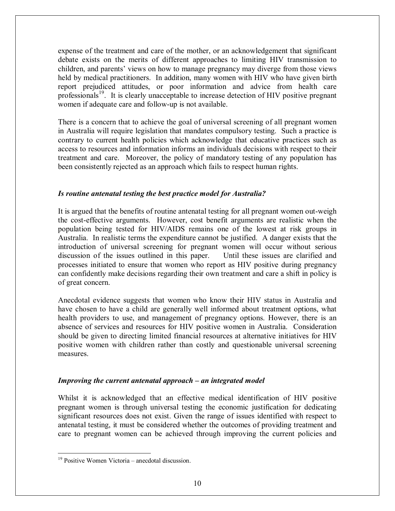expense of the treatment and care of the mother, or an acknowledgement that significant debate exists on the merits of different approaches to limiting HIV transmission to children, and parents' views on how to manage pregnancy may diverge from those views held by medical practitioners. In addition, many women with HIV who have given birth report prejudiced attitudes, or poor information and advice from health care professionals<sup>19</sup>. It is clearly unacceptable to increase detection of HIV positive pregnant women if adequate care and follow-up is not available.

There is a concern that to achieve the goal of universal screening of all pregnant women in Australia will require legislation that mandates compulsory testing. Such a practice is contrary to current health policies which acknowledge that educative practices such as access to resources and information informs an individuals decisions with respect to their treatment and care. Moreover, the policy of mandatory testing of any population has been consistently rejected as an approach which fails to respect human rights.

### *Is routine antenatal testing the best practice model for Australia?*

It is argued that the benefits of routine antenatal testing for all pregnant women out-weigh the cost-effective arguments. However, cost benefit arguments are realistic when the population being tested for HIV/AIDS remains one of the lowest at risk groups in Australia. In realistic terms the expenditure cannot be justified. A danger exists that the introduction of universal screening for pregnant women will occur without serious discussion of the issues outlined in this paper. Until these issues are clarified and processes initiated to ensure that women who report as HIV positive during pregnancy can confidently make decisions regarding their own treatment and care a shift in policy is of great concern.

Anecdotal evidence suggests that women who know their HIV status in Australia and have chosen to have a child are generally well informed about treatment options, what health providers to use, and management of pregnancy options. However, there is an absence of services and resources for HIV positive women in Australia. Consideration should be given to directing limited financial resources at alternative initiatives for HIV positive women with children rather than costly and questionable universal screening measures.

# *Improving the current antenatal approach – an integrated model*

Whilst it is acknowledged that an effective medical identification of HIV positive pregnant women is through universal testing the economic justification for dedicating significant resources does not exist. Given the range of issues identified with respect to antenatal testing, it must be considered whether the outcomes of providing treatment and care to pregnant women can be achieved through improving the current policies and

 $\overline{a}$  $19$  Positive Women Victoria – anecdotal discussion.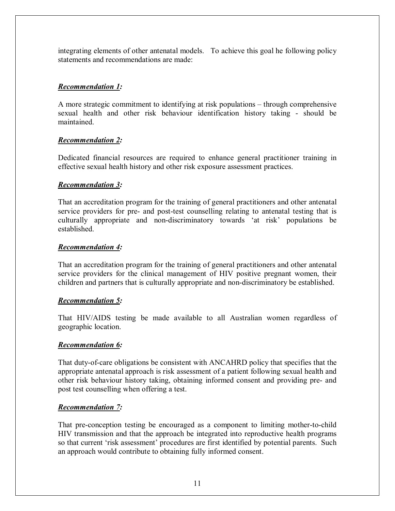integrating elements of other antenatal models. To achieve this goal he following policy statements and recommendations are made:

# *Recommendation 1:*

A more strategic commitment to identifying at risk populations  $-$  through comprehensive sexual health and other risk behaviour identification history taking - should be maintained.

# *Recommendation 2:*

Dedicated financial resources are required to enhance general practitioner training in effective sexual health history and other risk exposure assessment practices.

# *Recommendation 3:*

That an accreditation program for the training of general practitioners and other antenatal service providers for pre- and post-test counselling relating to antenatal testing that is culturally appropriate and non-discriminatory towards 'at risk' populations be established.

# *Recommendation 4:*

That an accreditation program for the training of general practitioners and other antenatal service providers for the clinical management of HIV positive pregnant women, their children and partners that is culturally appropriate and non-discriminatory be established.

# *Recommendation 5:*

That HIV/AIDS testing be made available to all Australian women regardless of geographic location.

# *Recommendation 6:*

That duty-of-care obligations be consistent with ANCAHRD policy that specifies that the appropriate antenatal approach is risk assessment of a patient following sexual health and other risk behaviour history taking, obtaining informed consent and providing pre- and post test counselling when offering a test.

# *Recommendation 7:*

That pre-conception testing be encouraged as a component to limiting mother-to-child HIV transmission and that the approach be integrated into reproductive health programs so that current 'risk assessment' procedures are first identified by potential parents. Such an approach would contribute to obtaining fully informed consent.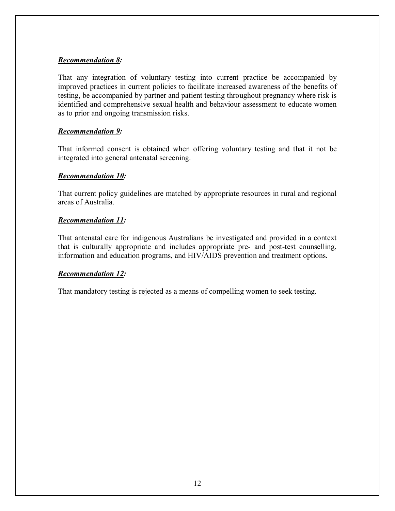# *Recommendation 8:*

That any integration of voluntary testing into current practice be accompanied by improved practices in current policies to facilitate increased awareness of the benefits of testing, be accompanied by partner and patient testing throughout pregnancy where risk is identified and comprehensive sexual health and behaviour assessment to educate women as to prior and ongoing transmission risks.

## *Recommendation 9:*

That informed consent is obtained when offering voluntary testing and that it not be integrated into general antenatal screening.

### *Recommendation 10:*

That current policy guidelines are matched by appropriate resources in rural and regional areas of Australia.

### *Recommendation 11:*

That antenatal care for indigenous Australians be investigated and provided in a context that is culturally appropriate and includes appropriate pre- and post-test counselling, information and education programs, and HIV/AIDS prevention and treatment options.

# *Recommendation 12:*

That mandatory testing is rejected as a means of compelling women to seek testing.